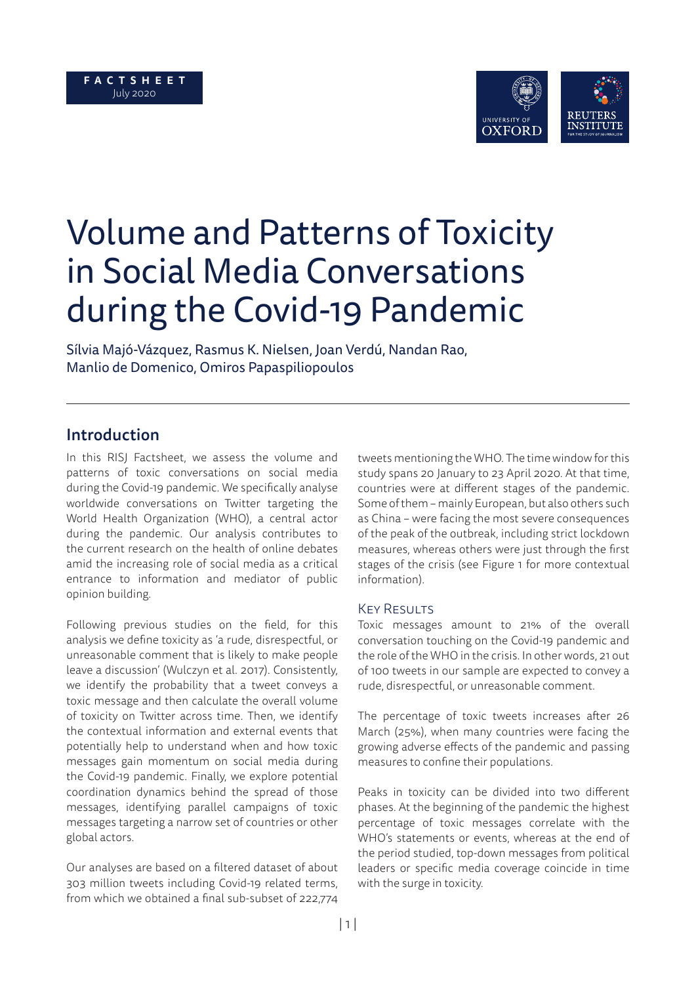

# Volume and Patterns of Toxicity in Social Media Conversations during the Covid-19 Pandemic

Sílvia Majó-Vázquez, Rasmus K. Nielsen, Joan Verdú, Nandan Rao, Manlio de Domenico, Omiros Papaspiliopoulos

## Introduction

In this RISJ Factsheet, we assess the volume and patterns of toxic conversations on social media during the Covid-19 pandemic. We specifically analyse worldwide conversations on Twitter targeting the World Health Organization (WHO), a central actor during the pandemic. Our analysis contributes to the current research on the health of online debates amid the increasing role of social media as a critical entrance to information and mediator of public opinion building.

Following previous studies on the field, for this analysis we define toxicity as 'a rude, disrespectful, or unreasonable comment that is likely to make people leave a discussion' (Wulczyn et al. 2017). Consistently, we identify the probability that a tweet conveys a toxic message and then calculate the overall volume of toxicity on Twitter across time. Then, we identify the contextual information and external events that potentially help to understand when and how toxic messages gain momentum on social media during the Covid-19 pandemic. Finally, we explore potential coordination dynamics behind the spread of those messages, identifying parallel campaigns of toxic messages targeting a narrow set of countries or other global actors.

Our analyses are based on a filtered dataset of about 303 million tweets including Covid-19 related terms, from which we obtained a final sub-subset of 222,774

tweets mentioning the WHO. The time window for this study spans 20 January to 23 April 2020. At that time, countries were at different stages of the pandemic. Some of them – mainly European, but also others such as China – were facing the most severe consequences of the peak of the outbreak, including strict lockdown measures, whereas others were just through the first stages of the crisis (see Figure 1 for more contextual information).

#### **KEY RESULTS**

Toxic messages amount to 21% of the overall conversation touching on the Covid-19 pandemic and the role of the WHO in the crisis. In other words, 21 out of 100 tweets in our sample are expected to convey a rude, disrespectful, or unreasonable comment.

The percentage of toxic tweets increases after 26 March (25%), when many countries were facing the growing adverse effects of the pandemic and passing measures to confine their populations.

Peaks in toxicity can be divided into two different phases. At the beginning of the pandemic the highest percentage of toxic messages correlate with the WHO's statements or events, whereas at the end of the period studied, top-down messages from political leaders or specific media coverage coincide in time with the surge in toxicity.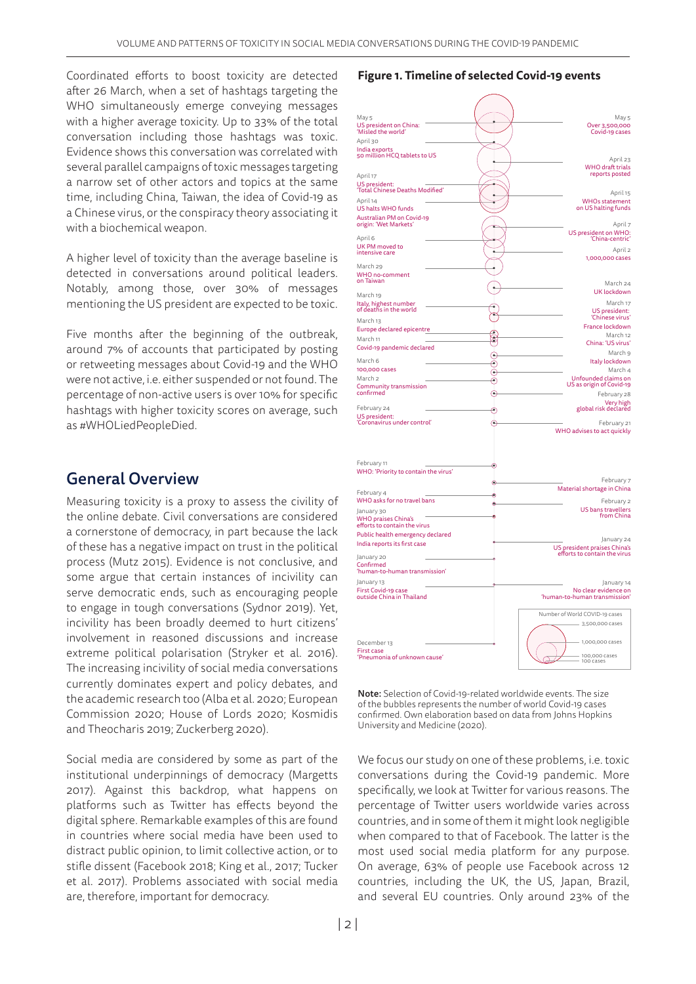Coordinated efforts to boost toxicity are detected after 26 March, when a set of hashtags targeting the WHO simultaneously emerge conveying messages with a higher average toxicity. Up to 33% of the total conversation including those hashtags was toxic. Evidence shows this conversation was correlated with several parallel campaigns of toxic messages targeting a narrow set of other actors and topics at the same time, including China, Taiwan, the idea of Covid-19 as a Chinese virus, or the conspiracy theory associating it with a biochemical weapon.

A higher level of toxicity than the average baseline is detected in conversations around political leaders. Notably, among those, over 30% of messages mentioning the US president are expected to be toxic.

Five months after the beginning of the outbreak, around 7% of accounts that participated by posting or retweeting messages about Covid-19 and the WHO were not active, i.e. either suspended or not found. The percentage of non-active users is over 10% for specific hashtags with higher toxicity scores on average, such as #WHOLiedPeopleDied.

## General Overview

Measuring toxicity is a proxy to assess the civility of the online debate. Civil conversations are considered a cornerstone of democracy, in part because the lack of these has a negative impact on trust in the political process (Mutz 2015). Evidence is not conclusive, and some argue that certain instances of incivility can serve democratic ends, such as encouraging people to engage in tough conversations (Sydnor 2019). Yet, incivility has been broadly deemed to hurt citizens' involvement in reasoned discussions and increase extreme political polarisation (Stryker et al. 2016). The increasing incivility of social media conversations currently dominates expert and policy debates, and the academic research too (Alba et al. 2020; European Commission 2020; House of Lords 2020; Kosmidis and Theocharis 2019; Zuckerberg 2020).

Social media are considered by some as part of the institutional underpinnings of democracy (Margetts 2017). Against this backdrop, what happens on platforms such as Twitter has effects beyond the digital sphere. Remarkable examples of this are found in countries where social media have been used to distract public opinion, to limit collective action, or to stifle dissent (Facebook 2018; King et al., 2017; Tucker et al. 2017). Problems associated with social media are, therefore, important for democracy.

#### **Figure 1. Timeline of selected Covid-19 events**

| May 5                                      | May 5                          |
|--------------------------------------------|--------------------------------|
| US president on China:                     | Over 3,500,000                 |
| 'Misled the world'                         | Covid-19 cases                 |
| April 30                                   |                                |
| India exports                              |                                |
| 50 million HCQ tablets to US               | April 23                       |
|                                            | <b>WHO</b> draft trials        |
| April 17                                   | reports posted                 |
| US president:                              |                                |
| 'Total Chinese Deaths Modified'            |                                |
|                                            | April 15                       |
| April 14                                   | <b>WHOs statement</b>          |
| US halts WHO funds                         | on US halting funds            |
| Australian PM on Covid-19                  |                                |
| origin: 'Wet Markets'                      | April 7                        |
|                                            | US president on WHO:           |
| April 6                                    | 'China-centric'                |
| UK PM moved to                             | April 2                        |
| intensive care                             | 1,000,000 cases                |
| March 29                                   |                                |
| WHO no-comment                             |                                |
| on Taiwan                                  |                                |
|                                            | March 24                       |
| March 19                                   | <b>UK</b> lockdown             |
| Italy, highest number                      | March 17                       |
| of deaths in the world                     | US president:                  |
|                                            | 'Chinese virus'                |
| March 13                                   | France lockdown                |
| Europe declared epicentre                  | March 12                       |
| č<br>March 11                              | China: 'US virus'              |
| Covid-19 pandemic declared                 |                                |
| 0                                          | March 9                        |
| March 6<br>⊙                               | Italy lockdown                 |
| 100,000 cases<br>⊙                         | March 4                        |
| March <sub>2</sub><br>⊙                    | Unfounded claims on            |
| Community transmission                     | US as origin of Covid-19       |
| confirmed<br>$\scriptstyle\odot$           | February 28                    |
|                                            | Very high                      |
| February 24<br>⊙                           | global risk declared           |
| US president:                              |                                |
| 'Coronavirus under control'<br>⊙           | February 21                    |
|                                            | WHO advises to act quickly     |
|                                            |                                |
|                                            |                                |
|                                            |                                |
| February 11<br>$_{\odot}$                  |                                |
| WHO: 'Priority to contain the virus'       |                                |
|                                            |                                |
| ∩                                          | February 7                     |
| February 4<br>⋒                            | Material shortage in China     |
| WHO asks for no travel bans<br>Ä           | February 2                     |
|                                            | <b>US</b> bans travellers      |
| January 30<br><b>WHO praises China's</b>   | from China                     |
| efforts to contain the virus               |                                |
|                                            |                                |
| Public health emergency declared           | January 24                     |
| India reports its first case               | US president praises China's   |
| January 20                                 | efforts to contain the virus   |
|                                            |                                |
| Confirmed<br>'human-to-human transmission' |                                |
|                                            |                                |
| January 13                                 | January 14                     |
| First Covid-19 case                        | No clear evidence on           |
| outside China in Thailand                  | 'human-to-human transmission'  |
|                                            |                                |
|                                            | Number of World COVID-19 cases |
|                                            | 3,500,000 cases                |
|                                            |                                |
|                                            |                                |
| December 13                                | 1.000.000 cases                |
| First case                                 | 100,000 cases                  |
| 'Pneumonia of unknown cause'               | 100 cases                      |
|                                            |                                |

Note: Selection of Covid-19-related worldwide events. The size of the bubbles represents the number of world Covid-19 cases confirmed. Own elaboration based on data from Johns Hopkins University and Medicine (2020).

We focus our study on one of these problems, i.e. toxic conversations during the Covid-19 pandemic. More specifically, we look at Twitter for various reasons. The percentage of Twitter users worldwide varies across countries, and in some of them it might look negligible when compared to that of Facebook. The latter is the most used social media platform for any purpose. On average, 63% of people use Facebook across 12 countries, including the UK, the US, Japan, Brazil, and several EU countries. Only around 23% of the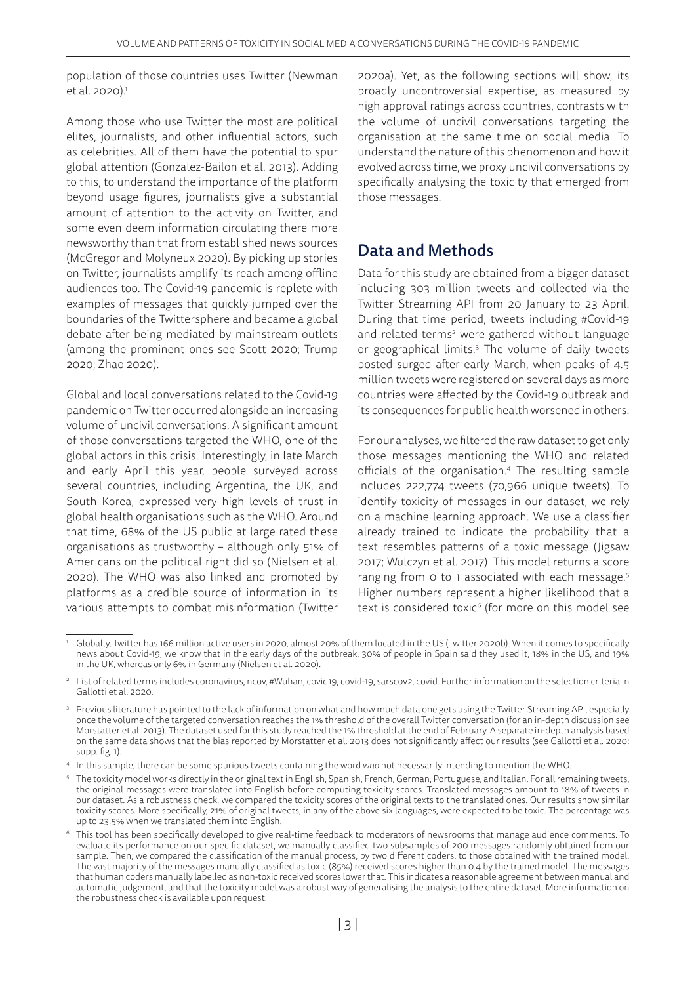population of those countries uses Twitter (Newman et al. 2020).<sup>1</sup>

Among those who use Twitter the most are political elites, journalists, and other influential actors, such as celebrities. All of them have the potential to spur global attention (Gonzalez-Bailon et al. 2013). Adding to this, to understand the importance of the platform beyond usage figures, journalists give a substantial amount of attention to the activity on Twitter, and some even deem information circulating there more newsworthy than that from established news sources (McGregor and Molyneux 2020). By picking up stories on Twitter, journalists amplify its reach among offline audiences too. The Covid-19 pandemic is replete with examples of messages that quickly jumped over the boundaries of the Twittersphere and became a global debate after being mediated by mainstream outlets (among the prominent ones see Scott 2020; Trump 2020; Zhao 2020).

Global and local conversations related to the Covid-19 pandemic on Twitter occurred alongside an increasing volume of uncivil conversations. A significant amount of those conversations targeted the WHO, one of the global actors in this crisis. Interestingly, in late March and early April this year, people surveyed across several countries, including Argentina, the UK, and South Korea, expressed very high levels of trust in global health organisations such as the WHO. Around that time, 68% of the US public at large rated these organisations as trustworthy – although only 51% of Americans on the political right did so (Nielsen et al. 2020). The WHO was also linked and promoted by platforms as a credible source of information in its various attempts to combat misinformation (Twitter

2020a). Yet, as the following sections will show, its broadly uncontroversial expertise, as measured by high approval ratings across countries, contrasts with the volume of uncivil conversations targeting the organisation at the same time on social media. To understand the nature of this phenomenon and how it evolved across time, we proxy uncivil conversations by specifically analysing the toxicity that emerged from those messages.

# Data and Methods

Data for this study are obtained from a bigger dataset including 303 million tweets and collected via the Twitter Streaming API from 20 January to 23 April. During that time period, tweets including #Covid-19 and related terms<sup>2</sup> were gathered without language or geographical limits.3 The volume of daily tweets posted surged after early March, when peaks of 4.5 million tweets were registered on several days as more countries were affected by the Covid-19 outbreak and its consequences for public health worsened in others.

For our analyses, we filtered the raw dataset to get only those messages mentioning the WHO and related officials of the organisation.4 The resulting sample includes 222,774 tweets (70,966 unique tweets). To identify toxicity of messages in our dataset, we rely on a machine learning approach. We use a classifier already trained to indicate the probability that a text resembles patterns of a toxic message (Jigsaw 2017; Wulczyn et al. 2017). This model returns a score ranging from 0 to 1 associated with each message.<sup>5</sup> Higher numbers represent a higher likelihood that a text is considered toxic<sup>6</sup> (for more on this model see

<sup>1</sup> Globally, Twitter has 166 million active users in 2020, almost 20% of them located in the US (Twitter 2020b). When it comes to specifically news about Covid-19, we know that in the early days of the outbreak, 30% of people in Spain said they used it, 18% in the US, and 19% in the UK, whereas only 6% in Germany (Nielsen et al. 2020).

<sup>&</sup>lt;sup>2</sup> List of related terms includes coronavirus, ncov, #Wuhan, covid19, covid-19, sarscov2, covid. Further information on the selection criteria in Gallotti et al. 2020.

<sup>&</sup>lt;sup>3</sup> Previous literature has pointed to the lack of information on what and how much data one gets using the Twitter Streaming API, especially once the volume of the targeted conversation reaches the 1% threshold of the overall Twitter conversation (for an in-depth discussion see Morstatter et al. 2013). The dataset used for this study reached the 1% threshold at the end of February. A separate in-depth analysis based on the same data shows that the bias reported by Morstatter et al. 2013 does not significantly affect our results (see Gallotti et al. 2020: supp. fig. 1).

<sup>4</sup> In this sample, there can be some spurious tweets containing the word *who* not necessarily intending to mention the WHO.

<sup>5</sup> The toxicity model works directly in the original text in English, Spanish, French, German, Portuguese, and Italian. For all remaining tweets, the original messages were translated into English before computing toxicity scores. Translated messages amount to 18% of tweets in our dataset. As a robustness check, we compared the toxicity scores of the original texts to the translated ones. Our results show similar toxicity scores. More specifically, 21% of original tweets, in any of the above six languages, were expected to be toxic. The percentage was up to 23.5% when we translated them into English.

<sup>&</sup>lt;sup>6</sup> This tool has been specifically developed to give real-time feedback to moderators of newsrooms that manage audience comments. To evaluate its performance on our specific dataset, we manually classified two subsamples of 200 messages randomly obtained from our sample. Then, we compared the classification of the manual process, by two different coders, to those obtained with the trained model. The vast majority of the messages manually classified as toxic (85%) received scores higher than 0.4 by the trained model. The messages that human coders manually labelled as non-toxic received scores lower that. This indicates a reasonable agreement between manual and automatic judgement, and that the toxicity model was a robust way of generalising the analysis to the entire dataset. More information on the robustness check is available upon request.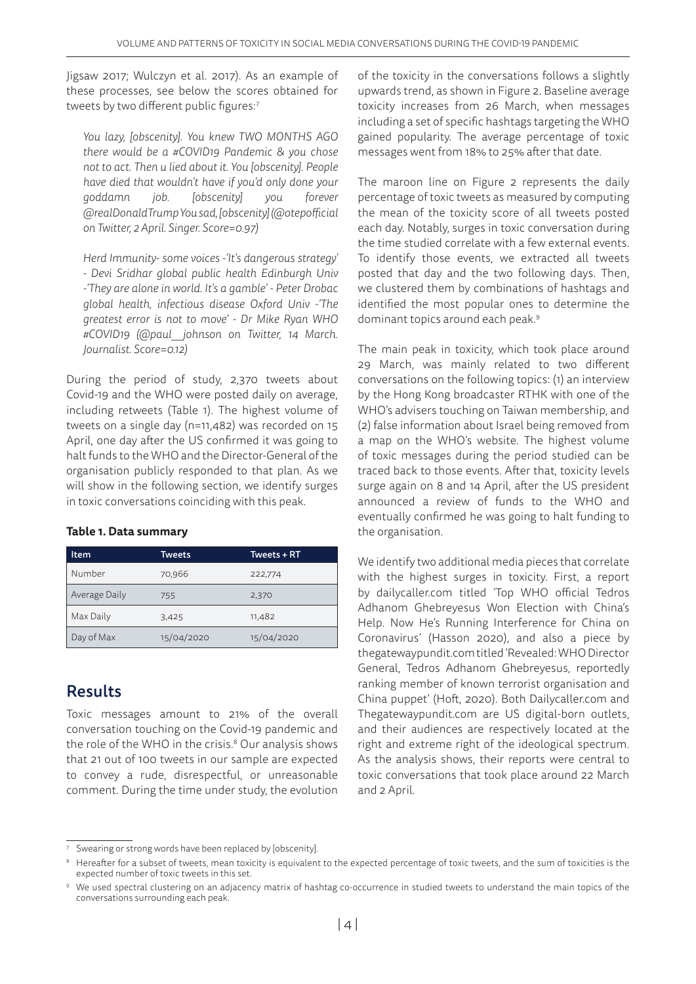Jigsaw 2017; Wulczyn et al. 2017). As an example of these processes, see below the scores obtained for tweets by two different public figures:7

*You lazy, [obscenity]. You knew TWO MONTHS AGO there would be a #COVID19 Pandemic & you chose not to act. Then u lied about it. You [obscenity]. People have died that wouldn't have if you'd only done your goddamn job. [obscenity] you forever @realDonaldTrump You sad, [obscenity] (@otepofficial on Twitter, 2 April. Singer. Score=0.97)*

*Herd Immunity- some voices -'It's dangerous strategy' - Devi Sridhar global public health Edinburgh Univ -'They are alone in world. It's a gamble' - Peter Drobac global health, infectious disease Oxford Univ -'The greatest error is not to move' - Dr Mike Ryan WHO #COVID19 (@paul\_\_johnson on Twitter, 14 March. Journalist. Score=0.12)*

During the period of study, 2,370 tweets about Covid-19 and the WHO were posted daily on average, including retweets (Table 1). The highest volume of tweets on a single day (n=11,482) was recorded on 15 April, one day after the US confirmed it was going to halt funds to the WHO and the Director-General of the organisation publicly responded to that plan. As we will show in the following section, we identify surges in toxic conversations coinciding with this peak.

#### **Table 1. Data summary**

| Item          | Tweets     | <b>Tweets + RT</b> |  |
|---------------|------------|--------------------|--|
| Number        | 70,966     | 222,774            |  |
| Average Daily | 755        | 2,370              |  |
| Max Daily     | 3,425      | 11,482             |  |
| Day of Max    | 15/04/2020 | 15/04/2020         |  |

# Results

Toxic messages amount to 21% of the overall conversation touching on the Covid-19 pandemic and the role of the WHO in the crisis.8 Our analysis shows that 21 out of 100 tweets in our sample are expected to convey a rude, disrespectful, or unreasonable comment. During the time under study, the evolution

of the toxicity in the conversations follows a slightly upwards trend, as shown in Figure 2. Baseline average toxicity increases from 26 March, when messages including a set of specific hashtags targeting the WHO gained popularity. The average percentage of toxic messages went from 18% to 25% after that date.

The maroon line on Figure 2 represents the daily percentage of toxic tweets as measured by computing the mean of the toxicity score of all tweets posted each day. Notably, surges in toxic conversation during the time studied correlate with a few external events. To identify those events, we extracted all tweets posted that day and the two following days. Then, we clustered them by combinations of hashtags and identified the most popular ones to determine the dominant topics around each peak.<sup>9</sup>

The main peak in toxicity, which took place around 29 March, was mainly related to two different conversations on the following topics: (1) an interview by the Hong Kong broadcaster RTHK with one of the WHO's advisers touching on Taiwan membership, and (2) false information about Israel being removed from a map on the WHO's website. The highest volume of toxic messages during the period studied can be traced back to those events. After that, toxicity levels surge again on 8 and 14 April, after the US president announced a review of funds to the WHO and eventually confirmed he was going to halt funding to the organisation.

We identify two additional media pieces that correlate with the highest surges in toxicity. First, a report by dailycaller.com titled 'Top WHO official Tedros Adhanom Ghebreyesus Won Election with China's Help. Now He's Running Interference for China on Coronavirus' (Hasson 2020), and also a piece by thegatewaypundit.com titled 'Revealed: WHO Director General, Tedros Adhanom Ghebreyesus, reportedly ranking member of known terrorist organisation and China puppet' (Hoft, 2020). Both Dailycaller.com and Thegatewaypundit.com are US digital-born outlets, and their audiences are respectively located at the right and extreme right of the ideological spectrum. As the analysis shows, their reports were central to toxic conversations that took place around 22 March and 2 April.

<sup>&</sup>lt;sup>7</sup> Swearing or strong words have been replaced by [obscenity].

<sup>&</sup>lt;sup>8</sup> Hereafter for a subset of tweets, mean toxicity is equivalent to the expected percentage of toxic tweets, and the sum of toxicities is the expected number of toxic tweets in this set.

<sup>9</sup> We used spectral clustering on an adjacency matrix of hashtag co-occurrence in studied tweets to understand the main topics of the conversations surrounding each peak.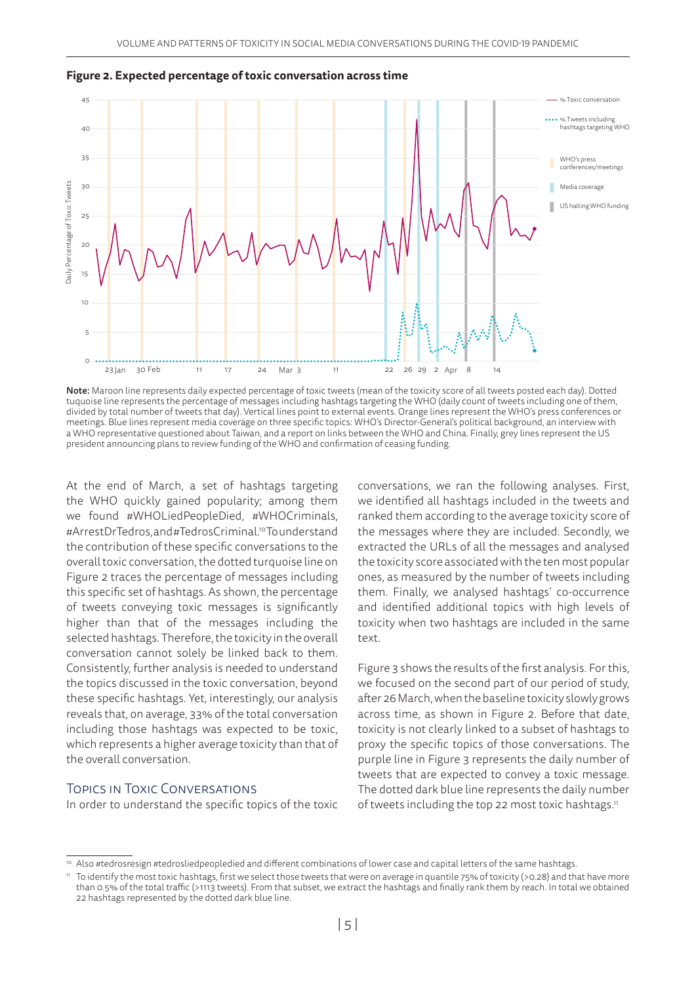

**Figure 2. Expected percentage of toxic conversation across time** 

Note: Maroon line represents daily expected percentage of toxic tweets (mean of the toxicity score of all tweets posted each day). Dotted tuquoise line represents the percentage of messages including hashtags targeting the WHO (daily count of tweets including one of them, divided by total number of tweets that day). Vertical lines point to external events. Orange lines represent the WHO's press conferences or meetings. Blue lines represent media coverage on three specific topics: WHO's Director-General's political background, an interview with a WHO representative questioned about Taiwan, and a report on links between the WHO and China. Finally, grey lines represent the US president announcing plans to review funding of the WHO and confirmation of ceasing funding.

At the end of March, a set of hashtags targeting the WHO quickly gained popularity; among them we found #WHOLiedPeopleDied, #WHOCriminals, #ArrestDrTedros, and #TedrosCriminal.10 To understand the contribution of these specific conversations to the overall toxic conversation, the dotted turquoise line on Figure 2 traces the percentage of messages including this specific set of hashtags. As shown, the percentage of tweets conveying toxic messages is significantly higher than that of the messages including the selected hashtags. Therefore, the toxicity in the overall conversation cannot solely be linked back to them. Consistently, further analysis is needed to understand the topics discussed in the toxic conversation, beyond these specific hashtags. Yet, interestingly, our analysis reveals that, on average, 33% of the total conversation including those hashtags was expected to be toxic, which represents a higher average toxicity than that of the overall conversation.

## Topics in Toxic Conversations

In order to understand the specific topics of the toxic

conversations, we ran the following analyses. First, we identified all hashtags included in the tweets and ranked them according to the average toxicity score of the messages where they are included. Secondly, we extracted the URLs of all the messages and analysed the toxicity score associated with the ten most popular ones, as measured by the number of tweets including them. Finally, we analysed hashtags' co-occurrence and identified additional topics with high levels of toxicity when two hashtags are included in the same text.

Figure 3 shows the results of the first analysis. For this, we focused on the second part of our period of study, after 26 March, when the baseline toxicity slowly grows across time, as shown in Figure 2. Before that date, toxicity is not clearly linked to a subset of hashtags to proxy the specific topics of those conversations. The purple line in Figure 3 represents the daily number of tweets that are expected to convey a toxic message. The dotted dark blue line represents the daily number of tweets including the top 22 most toxic hashtags.<sup>11</sup>

<sup>10</sup> Also #tedrosresign #tedrosliedpeopledied and different combinations of lower case and capital letters of the same hashtags.

<sup>11</sup> To identify the most toxic hashtags, first we select those tweets that were on average in quantile 75% of toxicity (>0.28) and that have more than 0.5% of the total traffic (>1113 tweets). From that subset, we extract the hashtags and finally rank them by reach. In total we obtained 22 hashtags represented by the dotted dark blue line.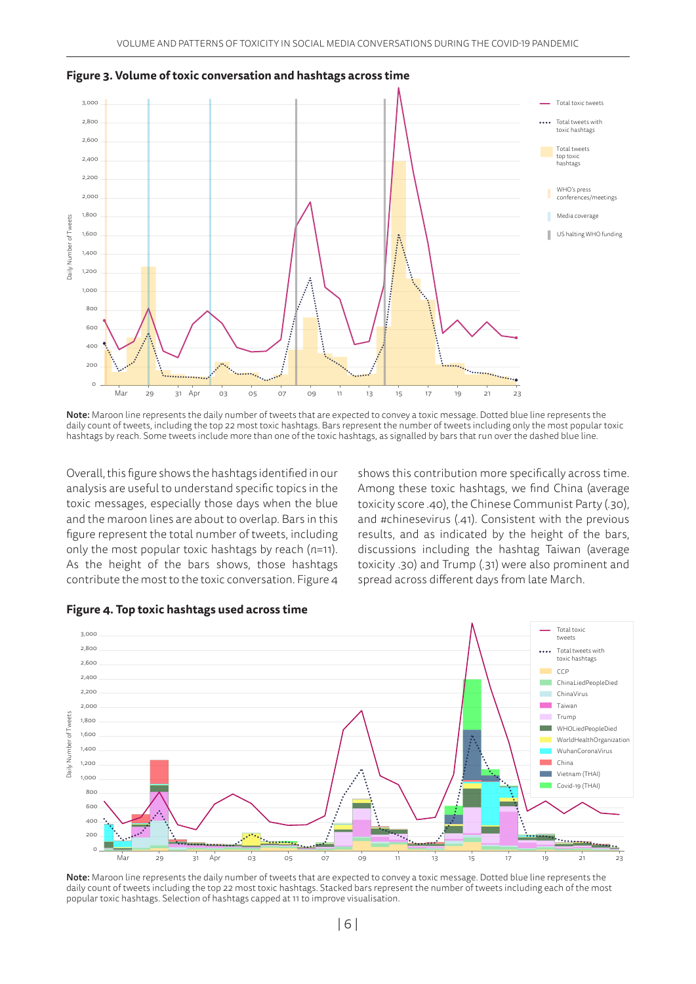

**Figure 3. Volume of toxic conversation and hashtags across time**

Note: Maroon line represents the daily number of tweets that are expected to convey a toxic message. Dotted blue line represents the daily count of tweets, including the top 22 most toxic hashtags. Bars represent the number of tweets including only the most popular toxic hashtags by reach. Some tweets include more than one of the toxic hashtags, as signalled by bars that run over the dashed blue line.

Overall, this figure shows the hashtags identified in our analysis are useful to understand specific topics in the toxic messages, especially those days when the blue and the maroon lines are about to overlap. Bars in this figure represent the total number of tweets, including only the most popular toxic hashtags by reach (*n*=11). As the height of the bars shows, those hashtags contribute the most to the toxic conversation. Figure 4 shows this contribution more specifically across time. Among these toxic hashtags, we find China (average toxicity score .40), the Chinese Communist Party (.30), and #chinesevirus (.41). Consistent with the previous results, and as indicated by the height of the bars, discussions including the hashtag Taiwan (average toxicity .30) and Trump (.31) were also prominent and spread across different days from late March.



**Figure 4. Top toxic hashtags used across time** 

Note: Maroon line represents the daily number of tweets that are expected to convey a toxic message. Dotted blue line represents the daily count of tweets including the top 22 most toxic hashtags. Stacked bars represent the number of tweets including each of the most popular toxic hashtags. Selection of hashtags capped at 11 to improve visualisation.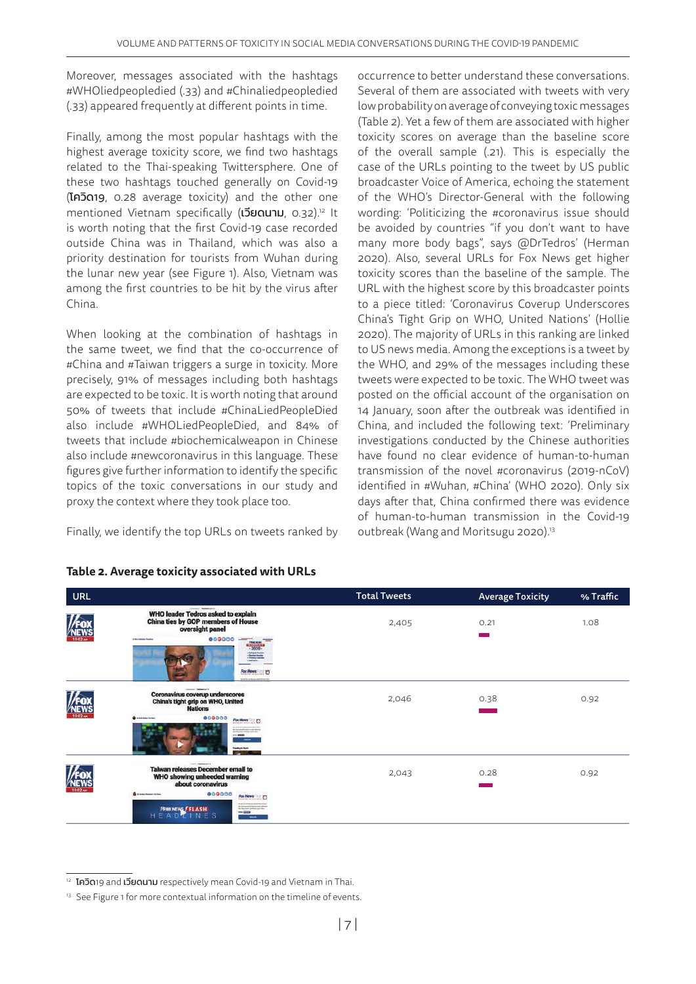Moreover, messages associated with the hashtags #WHOliedpeopledied (.33) and #Chinaliedpeopledied (.33) appeared frequently at different points in time.

Finally, among the most popular hashtags with the highest average toxicity score, we find two hashtags related to the Thai-speaking Twittersphere. One of these two hashtags touched generally on Covid-19 (โควิด19, 0.28 average toxicity) and the other one mentioned Vietnam specifically (**เวียดนาม**, 0.32).<sup>12</sup> It is worth noting that the first Covid-19 case recorded outside China was in Thailand, which was also a priority destination for tourists from Wuhan during the lunar new year (see Figure 1). Also, Vietnam was among the first countries to be hit by the virus after China.

When looking at the combination of hashtags in the same tweet, we find that the co-occurrence of #China and #Taiwan triggers a surge in toxicity. More precisely, 91% of messages including both hashtags are expected to be toxic. It is worth noting that around 50% of tweets that include #ChinaLiedPeopleDied also include #WHOLiedPeopleDied, and 84% of tweets that include #biochemicalweapon in Chinese also include #newcoronavirus in this language. These figures give further information to identify the specific topics of the toxic conversations in our study and proxy the context where they took place too.

Finally, we identify the top URLs on tweets ranked by

occurrence to better understand these conversations. Several of them are associated with tweets with very low probability on average of conveying toxic messages (Table 2). Yet a few of them are associated with higher toxicity scores on average than the baseline score of the overall sample (.21). This is especially the case of the URLs pointing to the tweet by US public broadcaster Voice of America, echoing the statement of the WHO's Director-General with the following wording: 'Politicizing the #coronavirus issue should be avoided by countries "if you don't want to have many more body bags", says @DrTedros' (Herman 2020). Also, several URLs for Fox News get higher toxicity scores than the baseline of the sample. The URL with the highest score by this broadcaster points to a piece titled: 'Coronavirus Coverup Underscores China's Tight Grip on WHO, United Nations' (Hollie 2020). The majority of URLs in this ranking are linked to US news media. Among the exceptions is a tweet by the WHO, and 29% of the messages including these tweets were expected to be toxic. The WHO tweet was posted on the official account of the organisation on 14 January, soon after the outbreak was identified in China, and included the following text: 'Preliminary investigations conducted by the Chinese authorities have found no clear evidence of human-to-human transmission of the novel #coronavirus (2019-nCoV) identified in #Wuhan, #China' (WHO 2020). Only six days after that, China confirmed there was evidence of human-to-human transmission in the Covid-19 outbreak (Wang and Moritsugu 2020).<sup>13</sup>

| <b>URL</b> |                                                                                                                                                                                                           | <b>Total Tweets</b> | <b>Average Toxicity</b> | % Traffic |
|------------|-----------------------------------------------------------------------------------------------------------------------------------------------------------------------------------------------------------|---------------------|-------------------------|-----------|
|            | <b>WHO leader Tedros asked to explain</b><br><b>China ties by GOP members of House</b><br>oversight panel                                                                                                 | 2,405               | 0.21                    | 1.08      |
|            | 000000<br>to has turned a fractions<br>$\frac{10000000}{2020}$<br>- Salayan Texture<br>- Martina Roads<br>- Minney Calcula<br>y automa.<br>Fox News Fox                                                   |                     |                         |           |
| 10:02 AM   | <b>Coronavirus coverup underscores</b><br>China's tight grip on WHO, United<br><b>Nations</b>                                                                                                             | 2,046               | 0.38                    | 0.92      |
|            | 000000<br><b>C</b> is take below for home<br>For News<br>76-This good to control their different<br>Brandboop week manding in phonologies<br>$ -$<br>$\overline{\phantom{a}}$<br>Training to Markt        |                     |                         |           |
| 10:02 AM   | most makebached to<br><b>Taiwan releases December email to</b><br>WHO showing unheeded warning<br>about coronavirus                                                                                       | 2,043               | 0.28                    | 0.92      |
|            | 000000<br><b>O</b> trinies homes its loss<br>For News (C)<br>So make pure furniture to rate with end.<br><b>FOX NEWS FLASH</b><br>H E A D L I N E S<br>the thing man maring is user this -<br>$ -$<br>$-$ |                     |                         |           |

## **Table 2. Average toxicity associated with URLs**

<sup>&</sup>lt;sup>12</sup> โควิด19 and เวียดนาม respectively mean Covid-19 and Vietnam in Thai.

<sup>&</sup>lt;sup>13</sup> See Figure 1 for more contextual information on the timeline of events.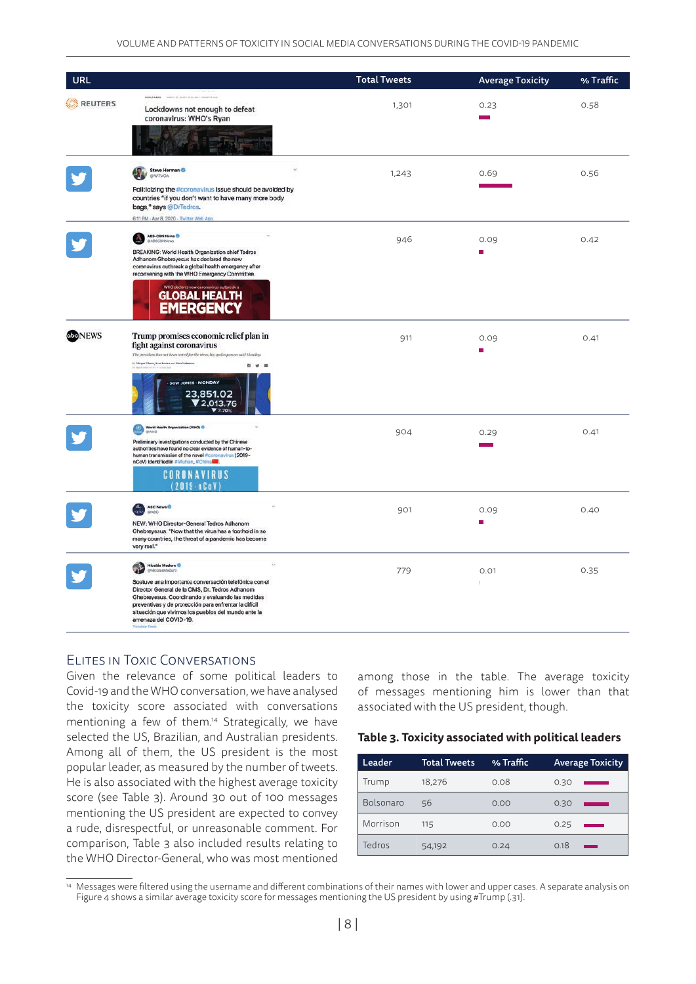| URL            |                                                                                                                                                                                                                                                                                                      | <b>Total Tweets</b> | <b>Average Toxicity</b> | % Traffic |
|----------------|------------------------------------------------------------------------------------------------------------------------------------------------------------------------------------------------------------------------------------------------------------------------------------------------------|---------------------|-------------------------|-----------|
| <b>REUTERS</b> | <b><i>MIALD GENS</i></b><br><b>MARTIN CO., 2005 LANDA AND LA WILL</b><br>Lockdowns not enough to defeat<br>coronavirus: WHO's Ryan                                                                                                                                                                   | 1,301               | 0.23                    | 0.58      |
|                |                                                                                                                                                                                                                                                                                                      |                     |                         |           |
|                | Steve Herman<br><b>@W7VOA</b>                                                                                                                                                                                                                                                                        | 1,243               | 0.69                    | 0.56      |
|                | Politicizing the #coronavirus issue should be avoided by<br>countries "if you don't want to have many more body<br>bags," says @DrTedros.                                                                                                                                                            |                     |                         |           |
|                | 6-11 PM - Apr 8, 2020 - Twitter Web App                                                                                                                                                                                                                                                              |                     |                         |           |
|                | ABS-CBN News                                                                                                                                                                                                                                                                                         | 946                 | 0.09                    | 0.42      |
|                | BREAKING: World Health Organization chief Tedros<br>Adhanom Ghebreyesus has declared the new<br>coronavirus outbreak a global health emergency after<br>reconvening with the WHO Emergency Committee.                                                                                                |                     | П                       |           |
|                | <b>GLOBAL HEALTH</b><br><b>EMERGENCY</b>                                                                                                                                                                                                                                                             |                     |                         |           |
| beNEWS         | Trump promises economic relief plan in<br>fight against coronavirus<br>The president has not been tested for the virus, his spokesperson said Monday.<br>1) Margan Winne, Isan Pendra, and Marc Sachannes<br>■ 9 ■                                                                                   | 911                 | 0.09<br>П               | 0.41      |
|                | <b>DOW JONES - MONDAY</b><br>23,851.02<br>2,013.76                                                                                                                                                                                                                                                   |                     |                         |           |
|                | World Health Organization (WHO)                                                                                                                                                                                                                                                                      | 904                 | 0.29                    | 0.41      |
|                | Preliminary investigations conducted by the Chinese<br>authorities have found no clear evidence of human-to-<br>human transmission of the novel #coronavirus (2019-<br>nCoV) identified in #Wuhan, #China<br><b>CORONAVIRUS</b>                                                                      |                     |                         |           |
|                | $(2019 - nCoV)$<br>ABC News <sup>O</sup>                                                                                                                                                                                                                                                             | 901                 | 0.09                    | 0.40      |
|                | NEW: WHO Director-General Tedros Adhanom<br>Ghebreyesus: "Now that the virus has a foothold in so<br>many countries, the threat of a pandemic has become<br>very real."                                                                                                                              |                     |                         |           |
|                | Nicolás Maduro<br>@NicolasMaduro                                                                                                                                                                                                                                                                     | 779                 | 0.01                    | 0.35      |
|                | Sostuve una importante conversación telefónica con el<br>Director General de la OMS, Dr. Tedros Adhanom<br>Ghebreyesus. Coordinando y evaluando las medidas<br>preventivas y de protección para enfrentar la difícil<br>situación que vivimos los pueblos del mundo ante la<br>amenaza del COVID-19. |                     |                         |           |

## Elites in Toxic Conversations

Given the relevance of some political leaders to Covid-19 and the WHO conversation, we have analysed the toxicity score associated with conversations mentioning a few of them.14 Strategically, we have selected the US, Brazilian, and Australian presidents. Among all of them, the US president is the most popular leader, as measured by the number of tweets. He is also associated with the highest average toxicity score (see Table 3). Around 30 out of 100 messages mentioning the US president are expected to convey a rude, disrespectful, or unreasonable comment. For comparison, Table 3 also included results relating to the WHO Director-General, who was most mentioned

among those in the table. The average toxicity of messages mentioning him is lower than that associated with the US president, though.

# 901 0.09 0.40 **Table 3. Toxicity associated with political leaders**

| Leader    | <b>Total Tweets</b> | % Traffic | <b>Average Toxicity</b> |  |
|-----------|---------------------|-----------|-------------------------|--|
| Trump     | 18,276              | 0.08      | 0.30                    |  |
| Bolsonaro | 56                  | 0.00      | 0.30                    |  |
| Morrison  | 115                 | 0.00      | 0.25                    |  |
| Tedros    | 54,192              | 0.24      | 0.18                    |  |

<sup>&</sup>lt;sup>14</sup> Messages were filtered using the username and different combinations of their names with lower and upper cases. A separate analysis on Figure 4 shows a similar average toxicity score for messages mentioning the US president by using #Trump (.31).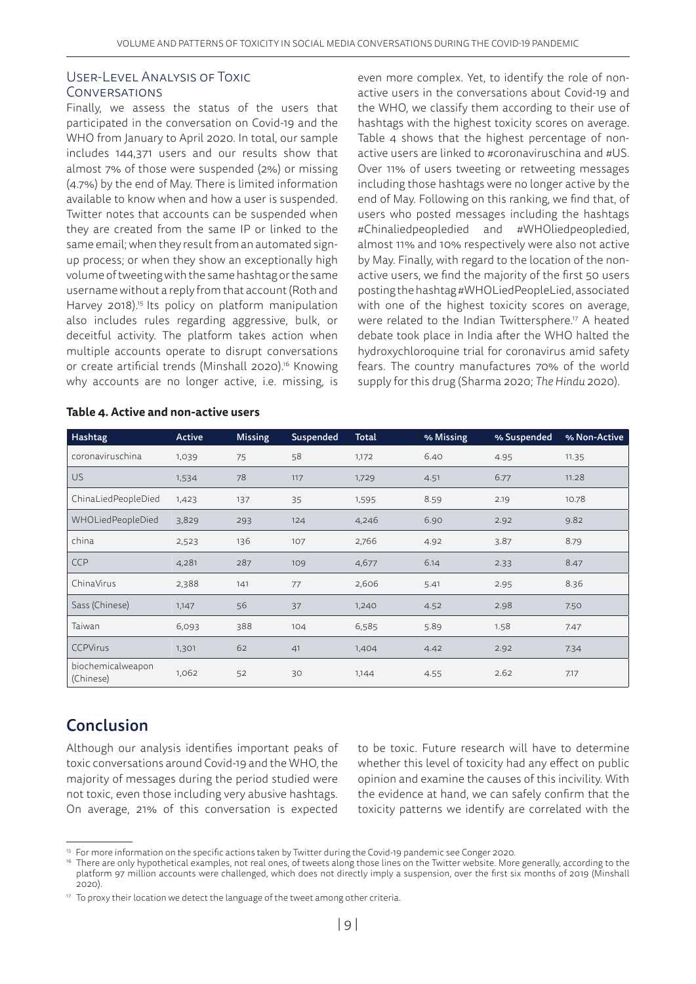### User-Level Analysis of Toxic **CONVERSATIONS**

Finally, we assess the status of the users that participated in the conversation on Covid-19 and the WHO from January to April 2020. In total, our sample includes 144,371 users and our results show that almost 7% of those were suspended (2%) or missing (4.7%) by the end of May. There is limited information available to know when and how a user is suspended. Twitter notes that accounts can be suspended when they are created from the same IP or linked to the same email; when they result from an automated signup process; or when they show an exceptionally high volume of tweeting with the same hashtag or the same username without a reply from that account (Roth and Harvey 2018).<sup>15</sup> Its policy on platform manipulation also includes rules regarding aggressive, bulk, or deceitful activity. The platform takes action when multiple accounts operate to disrupt conversations or create artificial trends (Minshall 2020).16 Knowing why accounts are no longer active, i.e. missing, is

even more complex. Yet, to identify the role of nonactive users in the conversations about Covid-19 and the WHO, we classify them according to their use of hashtags with the highest toxicity scores on average. Table 4 shows that the highest percentage of nonactive users are linked to #coronaviruschina and #US. Over 11% of users tweeting or retweeting messages including those hashtags were no longer active by the end of May. Following on this ranking, we find that, of users who posted messages including the hashtags #Chinaliedpeopledied and #WHOliedpeopledied, almost 11% and 10% respectively were also not active by May. Finally, with regard to the location of the nonactive users, we find the majority of the first 50 users posting the hashtag #WHOLiedPeopleLied, associated with one of the highest toxicity scores on average, were related to the Indian Twittersphere.<sup>17</sup> A heated debate took place in India after the WHO halted the hydroxychloroquine trial for coronavirus amid safety fears. The country manufactures 70% of the world supply for this drug (Sharma 2020; *The Hindu* 2020).

| Hashtag                        | Active | <b>Missing</b> | Suspended | Total | % Missing | % Suspended | % Non-Active |
|--------------------------------|--------|----------------|-----------|-------|-----------|-------------|--------------|
| coronaviruschina               | 1,039  | 75             | 58        | 1,172 | 6.40      | 4.95        | 11.35        |
| <b>US</b>                      | 1,534  | 78             | 117       | 1,729 | 4.51      | 6.77        | 11.28        |
| ChinaLiedPeopleDied            | 1,423  | 137            | 35        | 1,595 | 8.59      | 2.19        | 10.78        |
| <b>WHOLiedPeopleDied</b>       | 3,829  | 293            | 124       | 4,246 | 6.90      | 2.92        | 9.82         |
| china                          | 2,523  | 136            | 107       | 2,766 | 4.92      | 3.87        | 8.79         |
| <b>CCP</b>                     | 4,281  | 287            | 109       | 4,677 | 6.14      | 2.33        | 8.47         |
| ChinaVirus                     | 2,388  | 141            | 77        | 2,606 | 5.41      | 2.95        | 8.36         |
| Sass (Chinese)                 | 1,147  | 56             | 37        | 1,240 | 4.52      | 2.98        | 7.50         |
| Taiwan                         | 6,093  | 388            | 104       | 6,585 | 5.89      | 1.58        | 7.47         |
| <b>CCPVirus</b>                | 1,301  | 62             | 41        | 1,404 | 4.42      | 2.92        | 7.34         |
| biochemicalweapon<br>(Chinese) | 1,062  | 52             | 30        | 1,144 | 4.55      | 2.62        | 7.17         |

#### **Table 4. Active and non-active users**

# Conclusion

Although our analysis identifies important peaks of toxic conversations around Covid-19 and the WHO, the majority of messages during the period studied were not toxic, even those including very abusive hashtags. On average, 21% of this conversation is expected

to be toxic. Future research will have to determine whether this level of toxicity had any effect on public opinion and examine the causes of this incivility. With the evidence at hand, we can safely confirm that the toxicity patterns we identify are correlated with the

<sup>&</sup>lt;sup>15</sup> For more information on the specific actions taken by Twitter during the Covid-19 pandemic see Conger 2020.<br><sup>16</sup> There are only hypothetical examples, not real ones, of tweets along those lines on the Twitter website. platform 97 million accounts were challenged, which does not directly imply a suspension, over the first six months of 2019 (Minshall 2020).

<sup>&</sup>lt;sup>17</sup> To proxy their location we detect the language of the tweet among other criteria.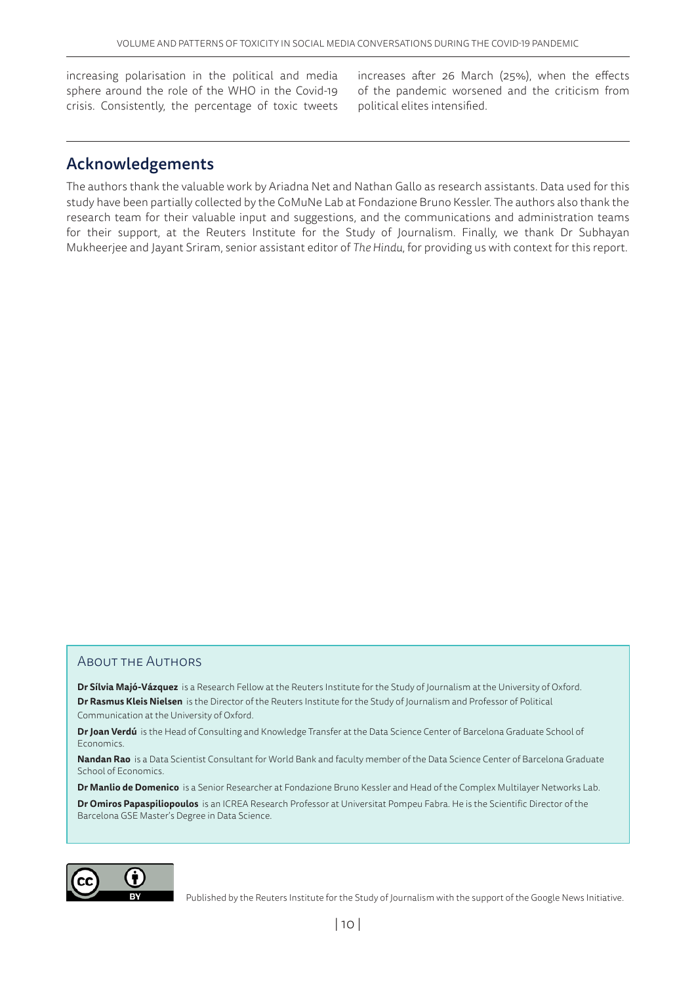increasing polarisation in the political and media sphere around the role of the WHO in the Covid-19 crisis. Consistently, the percentage of toxic tweets

increases after 26 March (25%), when the effects of the pandemic worsened and the criticism from political elites intensified.

# Acknowledgements

The authors thank the valuable work by Ariadna Net and Nathan Gallo as research assistants. Data used for this study have been partially collected by the CoMuNe Lab at Fondazione Bruno Kessler. The authors also thank the research team for their valuable input and suggestions, and the communications and administration teams for their support, at the Reuters Institute for the Study of Journalism. Finally, we thank Dr Subhayan Mukheerjee and Jayant Sriram, senior assistant editor of *The Hindu*, for providing us with context for this report.

## About the Authors

**Dr Sílvia Majó-Vázquez** is a Research Fellow at the Reuters Institute for the Study of Journalism at the University of Oxford. **Dr Rasmus Kleis Nielsen** is the Director of the Reuters Institute for the Study of Journalism and Professor of Political Communication at the University of Oxford.

**Dr Joan Verdú** is the Head of Consulting and Knowledge Transfer at the Data Science Center of Barcelona Graduate School of Economics.

**Nandan Rao** is a Data Scientist Consultant for World Bank and faculty member of the Data Science Center of Barcelona Graduate School of Economics.

**Dr Manlio de Domenico** is a Senior Researcher at Fondazione Bruno Kessler and Head of the Complex Multilayer Networks Lab.

**Dr Omiros Papaspiliopoulos** is an ICREA Research Professor at Universitat Pompeu Fabra. He is the Scientific Director of the Barcelona GSE Master's Degree in Data Science.



Published by the Reuters Institute for the Study of Journalism with the support of the Google News Initiative.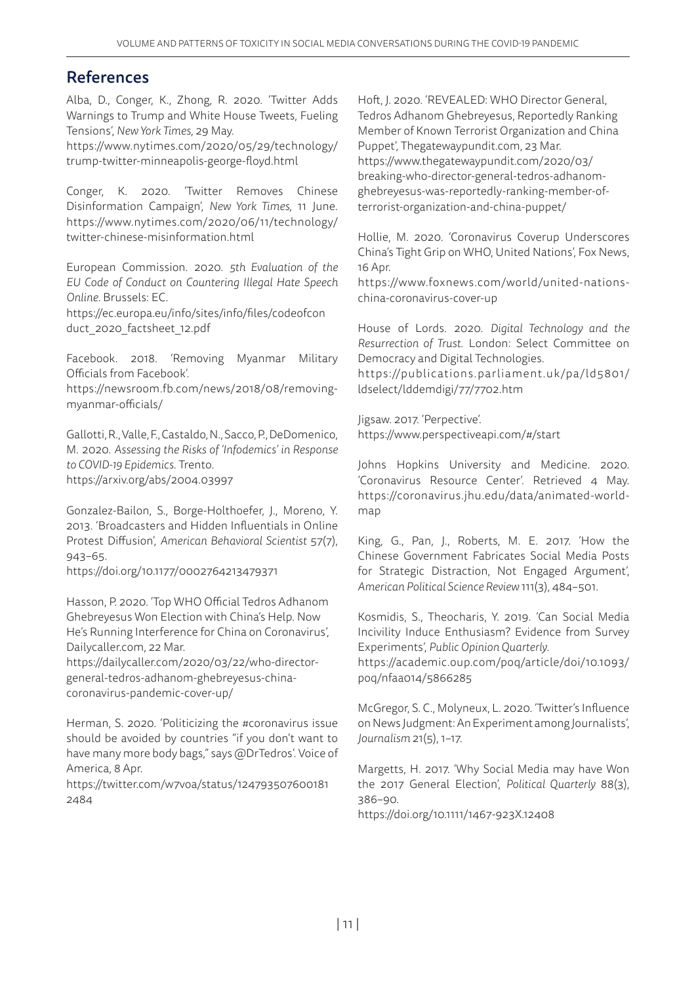## References

Alba, D., Conger, K., Zhong, R. 2020. 'Twitter Adds Warnings to Trump and White House Tweets, Fueling Tensions', *New York Times*, 29 May.

[https://www.nytimes.com/2020/05/29/technology/](https://www.nytimes.com/2020/05/29/technology/trump-twitter-minneapolis-george-floyd.html) [trump-twitter-minneapolis-george-floyd.html](https://www.nytimes.com/2020/05/29/technology/trump-twitter-minneapolis-george-floyd.html)

Conger, K. 2020. 'Twitter Removes Chinese Disinformation Campaign', *New York Times*, 11 June. [https://www.nytimes.com/2020/06/11/technology/](https://www.nytimes.com/2020/06/11/technology/twitter-chinese-misinformation.html) [twitter-chinese-misinformation.html](https://www.nytimes.com/2020/06/11/technology/twitter-chinese-misinformation.html)

European Commission. 2020. *5th Evaluation of the EU Code of Conduct on Countering Illegal Hate Speech Online*. Brussels: EC.

[https://ec.europa.eu/info/sites/info/files/codeofcon](https://ec.europa.eu/info/sites/info/files/codeofconduct_2020_factsheet_12.pdf)  duct\_2020\_factsheet\_12.pdf

Facebook. 2018. 'Removing Myanmar Military Officials from Facebook'.

https://newsroom.fb.com/news/2018/08/removingmyanmar-officials/

Gallotti, R., Valle, F., Castaldo, N., Sacco, P., DeDomenico, M. 2020. *Assessing the Risks of 'Infodemics' in Response to COVID-19 Epidemics*. Trento. https://arxiv.org/abs/2004.03997

Gonzalez-Bailon, S., Borge-Holthoefer, J., Moreno, Y. 2013. 'Broadcasters and Hidden Influentials in Online Protest Diffusion', *American Behavioral Scientist* 57(7), 943–65.

https://doi.org/10.1177/0002764213479371

Hasson, P. 2020. 'Top WHO Official Tedros Adhanom Ghebreyesus Won Election with China's Help. Now He's Running Interference for China on Coronavirus', Dailycaller.com, 22 Mar.

https://dailycaller.com/2020/03/22/who-directorgeneral-tedros-adhanom-ghebreyesus-chinacoronavirus-pandemic-cover-up/

Herman, S. 2020. 'Politicizing the #coronavirus issue should be avoided by countries "if you don't want to have many more body bags," says @DrTedros'. Voice of America, 8 Apr.

[https://twitter.com/w7voa/status/124793507600181](https://twitter.com/w7voa/status/1247935076001812484)  [2484](https://twitter.com/w7voa/status/1247935076001812484)

Hoft, J. 2020. 'REVEALED: WHO Director General, Tedros Adhanom Ghebreyesus, Reportedly Ranking Member of Known Terrorist Organization and China Puppet', Thegatewaypundit.com, 23 Mar. [https://www.thegatewaypundit.com/2020/03/](https://www.thegatewaypundit.com/2020/03/breaking-who-director-general-tedros-adhanom-ghebreyesus-was-reportedly-ranking-member-of-terrorist-organization-and-china-puppet/) [breaking-who-director-general-tedros-adhanom](https://www.thegatewaypundit.com/2020/03/breaking-who-director-general-tedros-adhanom-ghebreyesus-was-reportedly-ranking-member-of-terrorist-organization-and-china-puppet/)[ghebreyesus-was-reportedly-ranking-member-of](https://www.thegatewaypundit.com/2020/03/breaking-who-director-general-tedros-adhanom-ghebreyesus-was-reportedly-ranking-member-of-terrorist-organization-and-china-puppet/)[terrorist-organization-and-china-puppet/](https://www.thegatewaypundit.com/2020/03/breaking-who-director-general-tedros-adhanom-ghebreyesus-was-reportedly-ranking-member-of-terrorist-organization-and-china-puppet/)

Hollie, M. 2020. 'Coronavirus Coverup Underscores China's Tight Grip on WHO, United Nations', Fox News, 16 Apr.

https://www.foxnews.com/world/united-nationschina-coronavirus-cover-up

House of Lords. 2020. *Digital Technology and the Resurrection of Trust*. London: Select Committee on Democracy and Digital Technologies.

[https://publications.parliament.uk/pa/ld5801/](https://publications.parliament.uk/pa/ld5801/ldselect/lddemdigi/77/7702.htm) [ldselect/lddemdigi/77/7702.htm](https://publications.parliament.uk/pa/ld5801/ldselect/lddemdigi/77/7702.htm)

Jigsaw. 2017. 'Perpective'. https://www.perspectiveapi.com/#/start

Johns Hopkins University and Medicine. 2020. 'Coronavirus Resource Center'. Retrieved 4 May. [https://coronavirus.jhu.edu/data/animated-world](https://coronavirus.jhu.edu/map.html)map

King, G., Pan, J., Roberts, M. E. 2017. 'How the Chinese Government Fabricates Social Media Posts for Strategic Distraction, Not Engaged Argument', *American Political Science Review* 111(3), 484–501.

Kosmidis, S., Theocharis, Y. 2019. 'Can Social Media Incivility Induce Enthusiasm? Evidence from Survey Experiments', *Public Opinion Quarterly*.

[https://academic.oup.com/poq/article/doi/10.1093/](https://academic.oup.com/poq/article/doi/10.1093/poq/nfaa014/5866285) [poq/nfaa014/5866285](https://academic.oup.com/poq/article/doi/10.1093/poq/nfaa014/5866285)

McGregor, S. C., Molyneux, L. 2020. 'Twitter's Influence on News Judgment: An Experiment among Journalists', *Journalism* 21(5), 1–17.

Margetts, H. 2017. 'Why Social Media may have Won the 2017 General Election', *Political Quarterly* 88(3), 386–90.

https://doi.org/10.1111/1467-923X.12408